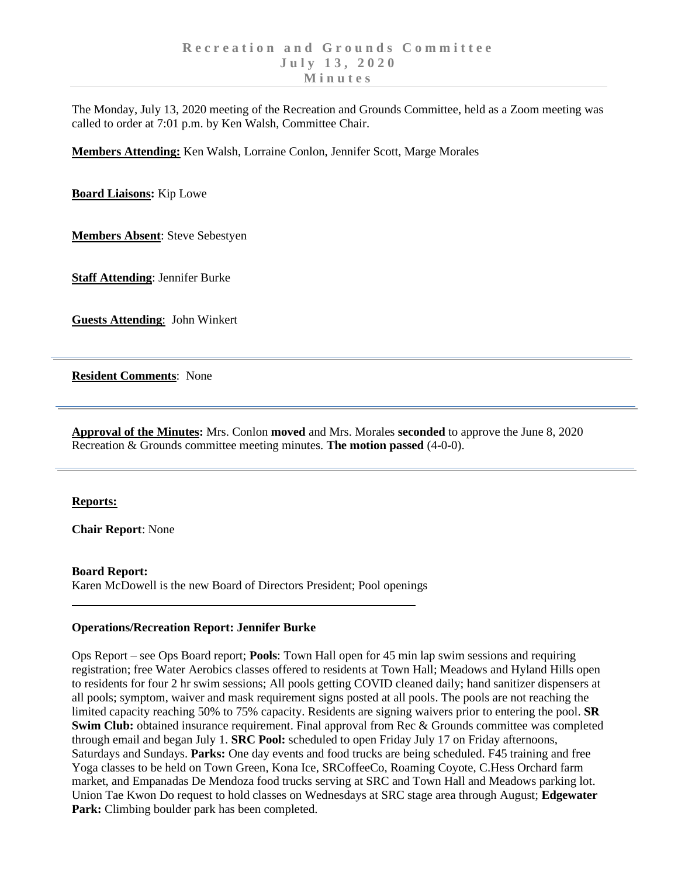The Monday, July 13, 2020 meeting of the Recreation and Grounds Committee, held as a Zoom meeting was called to order at 7:01 p.m. by Ken Walsh, Committee Chair.

**Members Attending:** Ken Walsh, Lorraine Conlon, Jennifer Scott, Marge Morales

**Board Liaisons:** Kip Lowe

**Members Absent**: Steve Sebestyen

**Staff Attending**: Jennifer Burke

**Guests Attending**: John Winkert

**Resident Comments**: None

**Approval of the Minutes:** Mrs. Conlon **moved** and Mrs. Morales **seconded** to approve the June 8, 2020 Recreation & Grounds committee meeting minutes. **The motion passed** (4-0-0).

#### **Reports:**

**Chair Report**: None

### **Board Report:**

Karen McDowell is the new Board of Directors President; Pool openings

### **Operations/Recreation Report: Jennifer Burke**

Ops Report – see Ops Board report; **Pools**: Town Hall open for 45 min lap swim sessions and requiring registration; free Water Aerobics classes offered to residents at Town Hall; Meadows and Hyland Hills open to residents for four 2 hr swim sessions; All pools getting COVID cleaned daily; hand sanitizer dispensers at all pools; symptom, waiver and mask requirement signs posted at all pools. The pools are not reaching the limited capacity reaching 50% to 75% capacity. Residents are signing waivers prior to entering the pool. **SR Swim Club:** obtained insurance requirement. Final approval from Rec & Grounds committee was completed through email and began July 1. **SRC Pool:** scheduled to open Friday July 17 on Friday afternoons, Saturdays and Sundays. **Parks:** One day events and food trucks are being scheduled. F45 training and free Yoga classes to be held on Town Green, Kona Ice, SRCoffeeCo, Roaming Coyote, C.Hess Orchard farm market, and Empanadas De Mendoza food trucks serving at SRC and Town Hall and Meadows parking lot. Union Tae Kwon Do request to hold classes on Wednesdays at SRC stage area through August; **Edgewater** Park: Climbing boulder park has been completed.